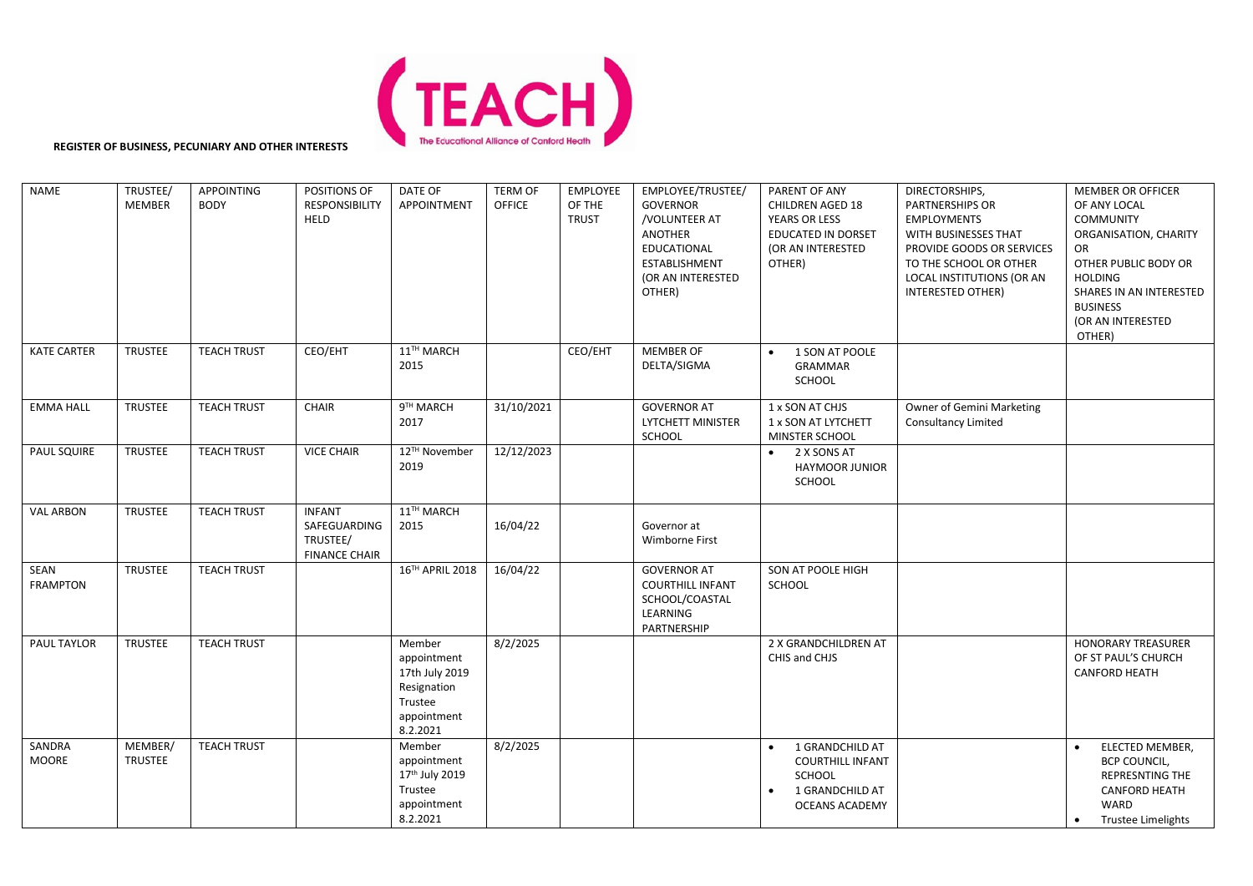

**REGISTER OF BUSINESS, PECUNIARY AND OTHER INTERESTS**

| <b>NAME</b>             | TRUSTEE/<br><b>MEMBER</b> | APPOINTING<br><b>BODY</b> | POSITIONS OF<br><b>RESPONSIBILITY</b><br><b>HELD</b>              | DATE OF<br><b>APPOINTMENT</b>                                                                | <b>TERM OF</b><br><b>OFFICE</b> | EMPLOYEE<br>OF THE<br><b>TRUST</b> | EMPLOYEE/TRUSTEE/<br><b>GOVERNOR</b><br>/VOLUNTEER AT<br><b>ANOTHER</b><br>EDUCATIONAL<br><b>ESTABLISHMENT</b><br>(OR AN INTERESTED<br>OTHER) | PARENT OF ANY<br><b>CHILDREN AGED 18</b><br>YEARS OR LESS<br>EDUCATED IN DORSET<br>(OR AN INTERESTED<br>OTHER) | DIRECTORSHIPS,<br><b>PARTNERSHIPS OR</b><br><b>EMPLOYMENTS</b><br>WITH BUSINESSES THAT<br>PROVIDE GOODS OR SERVICES<br>TO THE SCHOOL OR OTHER<br>LOCAL INSTITUTIONS (OR AN<br>INTERESTED OTHER) | <b>MEMBER OR OFFICER</b><br>OF ANY LOCAL<br><b>COMMUNITY</b><br>ORGANISATION, CHARITY<br>OR<br>OTHER PUBLIC BODY OR<br><b>HOLDING</b><br>SHARES IN AN INTERESTED<br><b>BUSINESS</b><br>(OR AN INTERESTED<br>OTHER) |
|-------------------------|---------------------------|---------------------------|-------------------------------------------------------------------|----------------------------------------------------------------------------------------------|---------------------------------|------------------------------------|-----------------------------------------------------------------------------------------------------------------------------------------------|----------------------------------------------------------------------------------------------------------------|-------------------------------------------------------------------------------------------------------------------------------------------------------------------------------------------------|--------------------------------------------------------------------------------------------------------------------------------------------------------------------------------------------------------------------|
| <b>KATE CARTER</b>      | <b>TRUSTEE</b>            | <b>TEACH TRUST</b>        | CEO/EHT                                                           | 11TH MARCH<br>2015                                                                           |                                 | CEO/EHT                            | <b>MEMBER OF</b><br>DELTA/SIGMA                                                                                                               | 1 SON AT POOLE<br>$\bullet$<br><b>GRAMMAR</b><br><b>SCHOOL</b>                                                 |                                                                                                                                                                                                 |                                                                                                                                                                                                                    |
| <b>EMMA HALL</b>        | <b>TRUSTEE</b>            | <b>TEACH TRUST</b>        | <b>CHAIR</b>                                                      | $9TH$ MARCH<br>2017                                                                          | 31/10/2021                      |                                    | <b>GOVERNOR AT</b><br><b>LYTCHETT MINISTER</b><br>SCHOOL                                                                                      | 1 x SON AT CHJS<br>1 x SON AT LYTCHETT<br>MINSTER SCHOOL                                                       | Owner of Gemini Marketing<br><b>Consultancy Limited</b>                                                                                                                                         |                                                                                                                                                                                                                    |
| <b>PAUL SQUIRE</b>      | <b>TRUSTEE</b>            | <b>TEACH TRUST</b>        | <b>VICE CHAIR</b>                                                 | 12™ November<br>2019                                                                         | 12/12/2023                      |                                    |                                                                                                                                               | $\bullet$ 2 X SONS AT<br><b>HAYMOOR JUNIOR</b><br>SCHOOL                                                       |                                                                                                                                                                                                 |                                                                                                                                                                                                                    |
| <b>VAL ARBON</b>        | <b>TRUSTEE</b>            | <b>TEACH TRUST</b>        | <b>INFANT</b><br>SAFEGUARDING<br>TRUSTEE/<br><b>FINANCE CHAIR</b> | 11TH MARCH<br>2015                                                                           | 16/04/22                        |                                    | Governor at<br>Wimborne First                                                                                                                 |                                                                                                                |                                                                                                                                                                                                 |                                                                                                                                                                                                                    |
| SEAN<br><b>FRAMPTON</b> | <b>TRUSTEE</b>            | <b>TEACH TRUST</b>        |                                                                   | 16TH APRIL 2018                                                                              | 16/04/22                        |                                    | <b>GOVERNOR AT</b><br><b>COURTHILL INFANT</b><br>SCHOOL/COASTAL<br>LEARNING<br>PARTNERSHIP                                                    | SON AT POOLE HIGH<br>SCHOOL                                                                                    |                                                                                                                                                                                                 |                                                                                                                                                                                                                    |
| PAUL TAYLOR             | <b>TRUSTEE</b>            | <b>TEACH TRUST</b>        |                                                                   | Member<br>appointment<br>17th July 2019<br>Resignation<br>Trustee<br>appointment<br>8.2.2021 | 8/2/2025                        |                                    |                                                                                                                                               | 2 X GRANDCHILDREN AT<br>CHIS and CHJS                                                                          |                                                                                                                                                                                                 | <b>HONORARY TREASURER</b><br>OF ST PAUL'S CHURCH<br><b>CANFORD HEATH</b>                                                                                                                                           |
| SANDRA<br><b>MOORE</b>  | MEMBER/<br><b>TRUSTEE</b> | <b>TEACH TRUST</b>        |                                                                   | Member<br>appointment<br>17th July 2019<br>Trustee<br>appointment<br>8.2.2021                | 8/2/2025                        |                                    |                                                                                                                                               | 1 GRANDCHILD AT<br><b>COURTHILL INFANT</b><br>SCHOOL<br>1 GRANDCHILD AT<br>$\bullet$<br>OCEANS ACADEMY         |                                                                                                                                                                                                 | ELECTED MEMBER,<br><b>BCP COUNCIL,</b><br>REPRESNTING THE<br><b>CANFORD HEATH</b><br><b>WARD</b><br>Trustee Limelights                                                                                             |